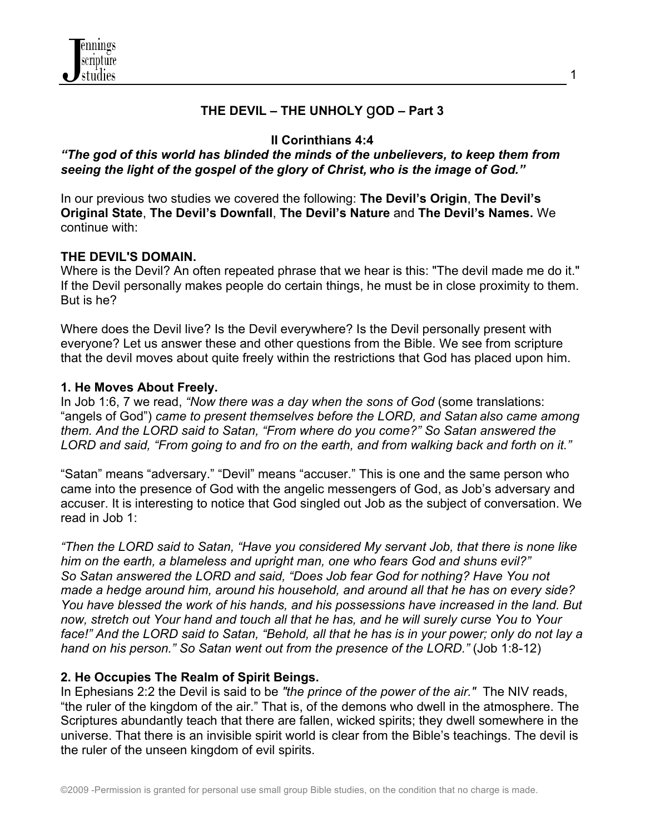

#### **THE DEVIL – THE UNHOLY** g**OD – Part 3**

#### **II Corinthians 4:4**

#### *"The god of this world has blinded the minds of the unbelievers, to keep them from seeing the light of the gospel of the glory of Christ, who is the image of God."*

In our previous two studies we covered the following: **The Devil's Origin**, **The Devil's Original State**, **The Devil's Downfall**, **The Devil's Nature** and **The Devil's Names.** We continue with:

#### **THE DEVIL'S DOMAIN.**

Where is the Devil? An often repeated phrase that we hear is this: "The devil made me do it." If the Devil personally makes people do certain things, he must be in close proximity to them. But is he?

Where does the Devil live? Is the Devil everywhere? Is the Devil personally present with everyone? Let us answer these and other questions from the Bible. We see from scripture that the devil moves about quite freely within the restrictions that God has placed upon him.

#### **1. He Moves About Freely.**

In Job 1:6, 7 we read, *"Now there was a day when the sons of God* (some translations: "angels of God") *came to present themselves before the LORD, and Satan also came among them. And the LORD said to Satan, "From where do you come?" So Satan answered the LORD and said, "From going to and fro on the earth, and from walking back and forth on it."*

"Satan" means "adversary." "Devil" means "accuser." This is one and the same person who came into the presence of God with the angelic messengers of God, as Job's adversary and accuser. It is interesting to notice that God singled out Job as the subject of conversation. We read in Job 1:

*"Then the LORD said to Satan, "Have you considered My servant Job, that there is none like him on the earth, a blameless and upright man, one who fears God and shuns evil?" So Satan answered the LORD and said, "Does Job fear God for nothing? Have You not made a hedge around him, around his household, and around all that he has on every side? You have blessed the work of his hands, and his possessions have increased in the land. But now, stretch out Your hand and touch all that he has, and he will surely curse You to Your face!" And the LORD said to Satan, "Behold, all that he has is in your power; only do not lay a hand on his person." So Satan went out from the presence of the LORD."* (Job 1:8-12)

#### **2. He Occupies The Realm of Spirit Beings.**

In Ephesians 2:2 the Devil is said to be *"the prince of the power of the air."* The NIV reads, "the ruler of the kingdom of the air." That is, of the demons who dwell in the atmosphere. The Scriptures abundantly teach that there are fallen, wicked spirits; they dwell somewhere in the universe. That there is an invisible spirit world is clear from the Bible's teachings. The devil is the ruler of the unseen kingdom of evil spirits.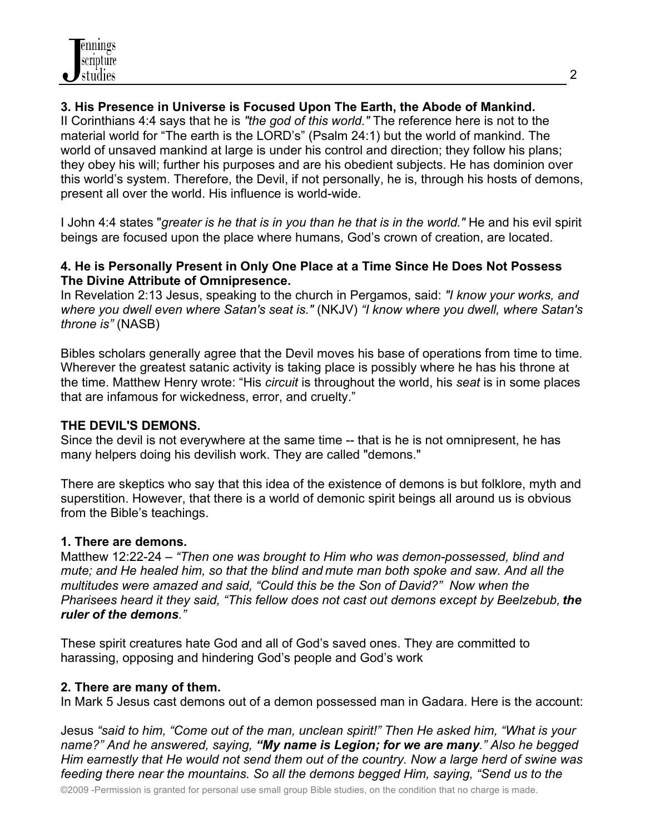# **3. His Presence in Universe is Focused Upon The Earth, the Abode of Mankind.**

II Corinthians 4:4 says that he is *"the god of this world."* The reference here is not to the material world for "The earth is the LORD's" (Psalm 24:1) but the world of mankind. The world of unsaved mankind at large is under his control and direction; they follow his plans; they obey his will; further his purposes and are his obedient subjects. He has dominion over this world's system. Therefore, the Devil, if not personally, he is, through his hosts of demons, present all over the world. His influence is world-wide.

I John 4:4 states "*greater is he that is in you than he that is in the world."* He and his evil spirit beings are focused upon the place where humans, God's crown of creation, are located.

#### **4. He is Personally Present in Only One Place at a Time Since He Does Not Possess The Divine Attribute of Omnipresence.**

In Revelation 2:13 Jesus, speaking to the church in Pergamos, said: *"I know your works, and where you dwell even where Satan's seat is."* (NKJV) *"I know where you dwell, where Satan's throne is"* (NASB)

Bibles scholars generally agree that the Devil moves his base of operations from time to time. Wherever the greatest satanic activity is taking place is possibly where he has his throne at the time. Matthew Henry wrote: "His *circuit* is throughout the world, his *seat* is in some places that are infamous for wickedness, error, and cruelty."

# **THE DEVIL'S DEMONS.**

Since the devil is not everywhere at the same time -- that is he is not omnipresent, he has many helpers doing his devilish work. They are called "demons."

There are skeptics who say that this idea of the existence of demons is but folklore, myth and superstition. However, that there is a world of demonic spirit beings all around us is obvious from the Bible's teachings.

# **1. There are demons.**

Matthew 12:22-24 – *"Then one was brought to Him who was demon-possessed, blind and mute; and He healed him, so that the blind and mute man both spoke and saw. And all the multitudes were amazed and said, "Could this be the Son of David?" Now when the Pharisees heard it they said, "This fellow does not cast out demons except by Beelzebub, the ruler of the demons."*

These spirit creatures hate God and all of God's saved ones. They are committed to harassing, opposing and hindering God's people and God's work

# **2. There are many of them.**

In Mark 5 Jesus cast demons out of a demon possessed man in Gadara. Here is the account:

Jesus *"said to him, "Come out of the man, unclean spirit!" Then He asked him, "What is your name?" And he answered, saying, "My name is Legion; for we are many." Also he begged Him earnestly that He would not send them out of the country. Now a large herd of swine was feeding there near the mountains. So all the demons begged Him, saying, "Send us to the*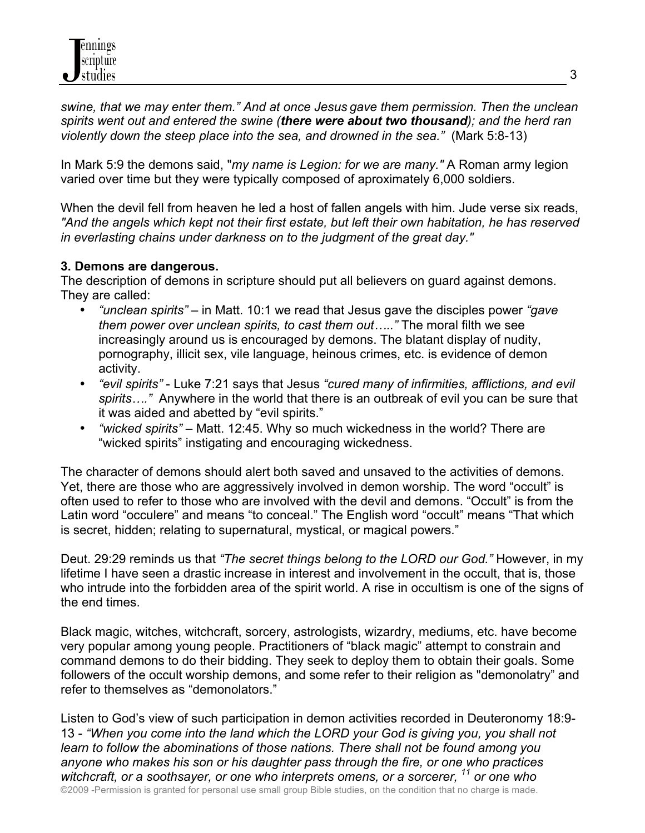*swine, that we may enter them." And at once Jesus gave them permission. Then the unclean spirits went out and entered the swine (there were about two thousand); and the herd ran violently down the steep place into the sea, and drowned in the sea."* (Mark 5:8-13)

In Mark 5:9 the demons said, "*my name is Legion: for we are many."* A Roman army legion varied over time but they were typically composed of aproximately 6,000 soldiers.

When the devil fell from heaven he led a host of fallen angels with him. Jude verse six reads, *"And the angels which kept not their first estate, but left their own habitation, he has reserved in everlasting chains under darkness on to the judgment of the great day."*

# **3. Demons are dangerous.**

The description of demons in scripture should put all believers on guard against demons. They are called:

- *"unclean spirits"* in Matt. 10:1 we read that Jesus gave the disciples power *"gave them power over unclean spirits, to cast them out….."* The moral filth we see increasingly around us is encouraged by demons. The blatant display of nudity, pornography, illicit sex, vile language, heinous crimes, etc. is evidence of demon activity.
- *"evil spirits"* Luke 7:21 says that Jesus *"cured many of infirmities, afflictions, and evil spirits…."* Anywhere in the world that there is an outbreak of evil you can be sure that it was aided and abetted by "evil spirits."
- *"wicked spirits"* Matt. 12:45. Why so much wickedness in the world? There are "wicked spirits" instigating and encouraging wickedness.

The character of demons should alert both saved and unsaved to the activities of demons. Yet, there are those who are aggressively involved in demon worship. The word "occult" is often used to refer to those who are involved with the devil and demons. "Occult" is from the Latin word "occulere" and means "to conceal." The English word "occult" means "That which is secret, hidden; relating to supernatural, mystical, or magical powers."

Deut. 29:29 reminds us that *"The secret things belong to the LORD our God."* However, in my lifetime I have seen a drastic increase in interest and involvement in the occult, that is, those who intrude into the forbidden area of the spirit world. A rise in occultism is one of the signs of the end times.

Black magic, witches, witchcraft, sorcery, astrologists, wizardry, mediums, etc. have become very popular among young people. Practitioners of "black magic" attempt to constrain and command demons to do their bidding. They seek to deploy them to obtain their goals. Some followers of the occult worship demons, and some refer to their religion as "demonolatry" and refer to themselves as "demonolators."

©2009 -Permission is granted for personal use small group Bible studies, on the condition that no charge is made. Listen to God's view of such participation in demon activities recorded in Deuteronomy 18:9- 13 - *"When you come into the land which the LORD your God is giving you, you shall not learn to follow the abominations of those nations. There shall not be found among you anyone who makes his son or his daughter pass through the fire, or one who practices witchcraft, or a soothsayer, or one who interprets omens, or a sorcerer, 11 or one who*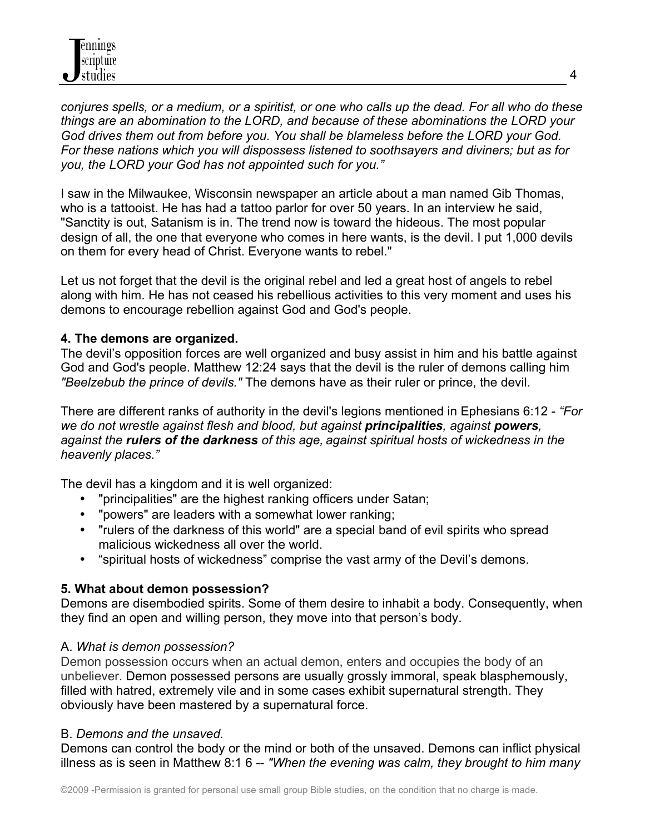*conjures spells, or a medium, or a spiritist, or one who calls up the dead. For all who do these things are an abomination to the LORD, and because of these abominations the LORD your God drives them out from before you. You shall be blameless before the LORD your God. For these nations which you will dispossess listened to soothsayers and diviners; but as for you, the LORD your God has not appointed such for you."*

I saw in the Milwaukee, Wisconsin newspaper an article about a man named Gib Thomas, who is a tattooist. He has had a tattoo parlor for over 50 years. In an interview he said, "Sanctity is out, Satanism is in. The trend now is toward the hideous. The most popular design of all, the one that everyone who comes in here wants, is the devil. I put 1,000 devils on them for every head of Christ. Everyone wants to rebel."

Let us not forget that the devil is the original rebel and led a great host of angels to rebel along with him. He has not ceased his rebellious activities to this very moment and uses his demons to encourage rebellion against God and God's people.

#### **4. The demons are organized.**

The devil's opposition forces are well organized and busy assist in him and his battle against God and God's people. Matthew 12:24 says that the devil is the ruler of demons calling him *"Beelzebub the prince of devils."* The demons have as their ruler or prince, the devil.

There are different ranks of authority in the devil's legions mentioned in Ephesians 6:12 - *"For we do not wrestle against flesh and blood, but against principalities, against powers, against the rulers of the darkness of this age, against spiritual hosts of wickedness in the heavenly places."*

The devil has a kingdom and it is well organized:

- "principalities" are the highest ranking officers under Satan;
- "powers" are leaders with a somewhat lower ranking;
- "rulers of the darkness of this world" are a special band of evil spirits who spread malicious wickedness all over the world.
- "spiritual hosts of wickedness" comprise the vast army of the Devil's demons.

# **5. What about demon possession?**

Demons are disembodied spirits. Some of them desire to inhabit a body. Consequently, when they find an open and willing person, they move into that person's body.

# A. *What is demon possession?*

Demon possession occurs when an actual demon, enters and occupies the body of an unbeliever. Demon possessed persons are usually grossly immoral, speak blasphemously, filled with hatred, extremely vile and in some cases exhibit supernatural strength. They obviously have been mastered by a supernatural force.

# B. *Demons and the unsaved.*

Demons can control the body or the mind or both of the unsaved. Demons can inflict physical illness as is seen in Matthew 8:1 6 -- *"When the evening was calm, they brought to him many*